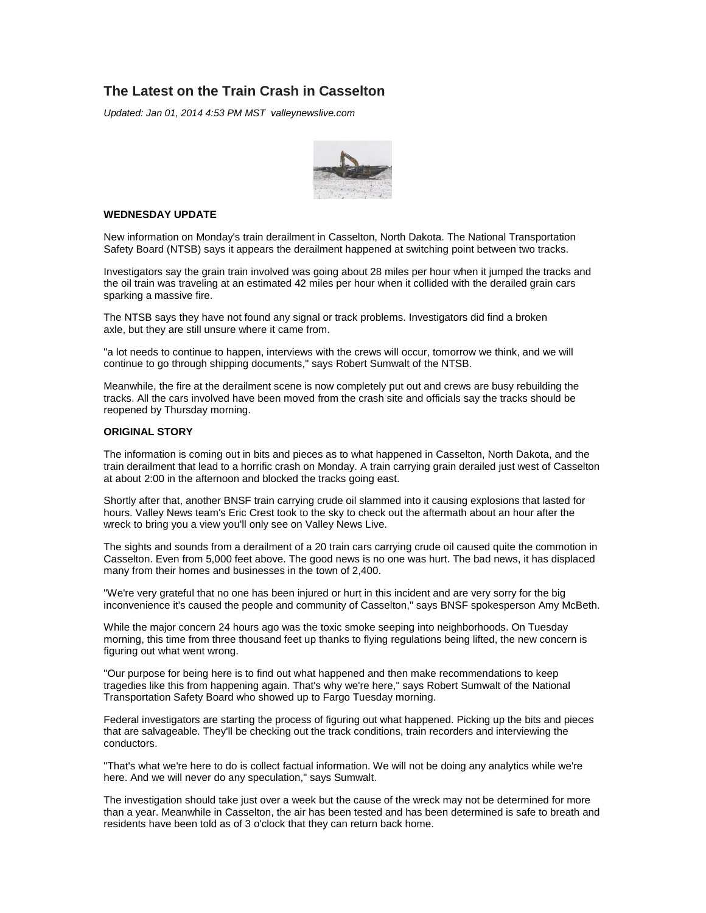## **The Latest on the Train Crash in Casselton**

Updated: Jan 01, 2014 4:53 PM MST valleynewslive.com



## **WEDNESDAY UPDATE**

New information on Monday's train derailment in Casselton, North Dakota. The National Transportation Safety Board (NTSB) says it appears the derailment happened at switching point between two tracks.

Investigators say the grain train involved was going about 28 miles per hour when it jumped the tracks and the oil train was traveling at an estimated 42 miles per hour when it collided with the derailed grain cars sparking a massive fire.

The NTSB says they have not found any signal or track problems. Investigators did find a broken axle, but they are still unsure where it came from.

"a lot needs to continue to happen, interviews with the crews will occur, tomorrow we think, and we will continue to go through shipping documents," says Robert Sumwalt of the NTSB.

Meanwhile, the fire at the derailment scene is now completely put out and crews are busy rebuilding the tracks. All the cars involved have been moved from the crash site and officials say the tracks should be reopened by Thursday morning.

## **ORIGINAL STORY**

The information is coming out in bits and pieces as to what happened in Casselton, North Dakota, and the train derailment that lead to a horrific crash on Monday. A train carrying grain derailed just west of Casselton at about 2:00 in the afternoon and blocked the tracks going east.

Shortly after that, another BNSF train carrying crude oil slammed into it causing explosions that lasted for hours. Valley News team's Eric Crest took to the sky to check out the aftermath about an hour after the wreck to bring you a view you'll only see on Valley News Live.

The sights and sounds from a derailment of a 20 train cars carrying crude oil caused quite the commotion in Casselton. Even from 5,000 feet above. The good news is no one was hurt. The bad news, it has displaced many from their homes and businesses in the town of 2,400.

"We're very grateful that no one has been injured or hurt in this incident and are very sorry for the big inconvenience it's caused the people and community of Casselton," says BNSF spokesperson Amy McBeth.

While the major concern 24 hours ago was the toxic smoke seeping into neighborhoods. On Tuesday morning, this time from three thousand feet up thanks to flying regulations being lifted, the new concern is figuring out what went wrong.

"Our purpose for being here is to find out what happened and then make recommendations to keep tragedies like this from happening again. That's why we're here," says Robert Sumwalt of the National Transportation Safety Board who showed up to Fargo Tuesday morning.

Federal investigators are starting the process of figuring out what happened. Picking up the bits and pieces that are salvageable. They'll be checking out the track conditions, train recorders and interviewing the conductors.

"That's what we're here to do is collect factual information. We will not be doing any analytics while we're here. And we will never do any speculation," says Sumwalt.

The investigation should take just over a week but the cause of the wreck may not be determined for more than a year. Meanwhile in Casselton, the air has been tested and has been determined is safe to breath and residents have been told as of 3 o'clock that they can return back home.